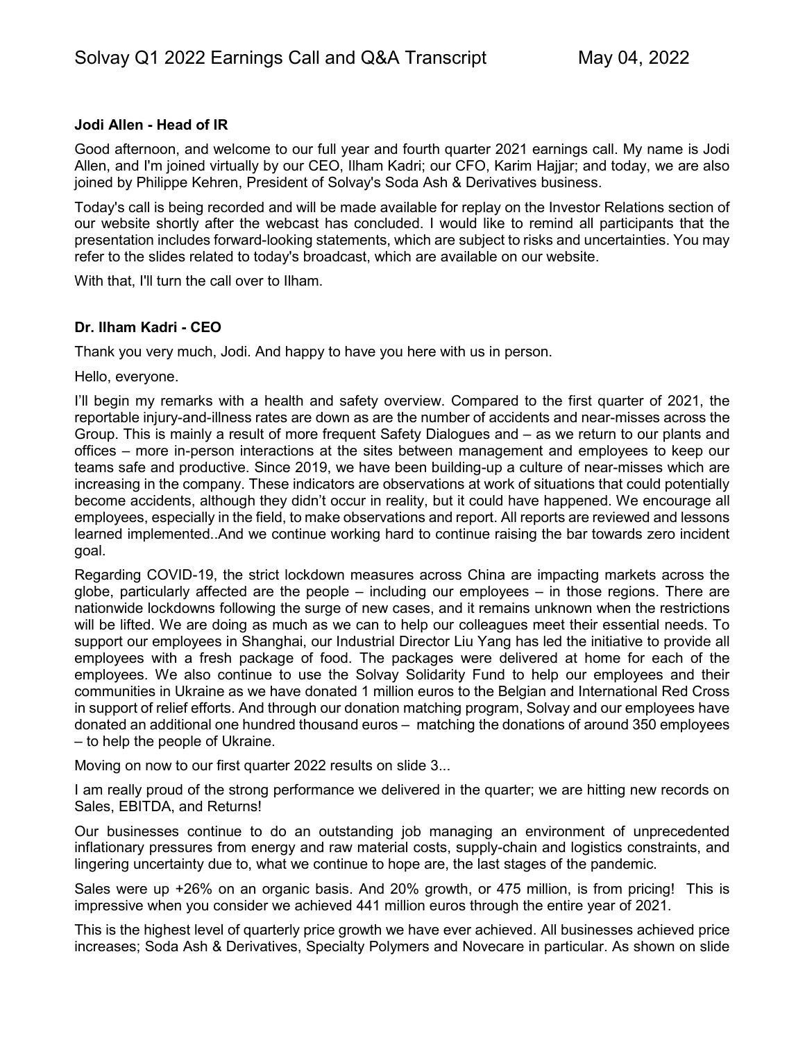#### **Jodi Allen - Head of IR**

Good afternoon, and welcome to our full year and fourth quarter 2021 earnings call. My name is Jodi Allen, and I'm joined virtually by our CEO, Ilham Kadri; our CFO, Karim Hajjar; and today, we are also joined by Philippe Kehren, President of Solvay's Soda Ash & Derivatives business.

Today's call is being recorded and will be made available for replay on the Investor Relations section of our website shortly after the webcast has concluded. I would like to remind all participants that the presentation includes forward-looking statements, which are subject to risks and uncertainties. You may refer to the slides related to today's broadcast, which are available on our website.

With that, I'll turn the call over to Ilham.

#### **Dr. Ilham Kadri - CEO**

Thank you very much, Jodi. And happy to have you here with us in person.

Hello, everyone.

I'll begin my remarks with a health and safety overview. Compared to the first quarter of 2021, the reportable injury-and-illness rates are down as are the number of accidents and near-misses across the Group. This is mainly a result of more frequent Safety Dialogues and – as we return to our plants and offices – more in-person interactions at the sites between management and employees to keep our teams safe and productive. Since 2019, we have been building-up a culture of near-misses which are increasing in the company. These indicators are observations at work of situations that could potentially become accidents, although they didn't occur in reality, but it could have happened. We encourage all employees, especially in the field, to make observations and report. All reports are reviewed and lessons learned implemented..And we continue working hard to continue raising the bar towards zero incident goal.

Regarding COVID-19, the strict lockdown measures across China are impacting markets across the globe, particularly affected are the people – including our employees – in those regions. There are nationwide lockdowns following the surge of new cases, and it remains unknown when the restrictions will be lifted. We are doing as much as we can to help our colleagues meet their essential needs. To support our employees in Shanghai, our Industrial Director Liu Yang has led the initiative to provide all employees with a fresh package of food. The packages were delivered at home for each of the employees. We also continue to use the Solvay Solidarity Fund to help our employees and their communities in Ukraine as we have donated 1 million euros to the Belgian and International Red Cross in support of relief efforts. And through our donation matching program, Solvay and our employees have donated an additional one hundred thousand euros – matching the donations of around 350 employees – to help the people of Ukraine.

Moving on now to our first quarter 2022 results on slide 3...

I am really proud of the strong performance we delivered in the quarter; we are hitting new records on Sales, EBITDA, and Returns!

Our businesses continue to do an outstanding job managing an environment of unprecedented inflationary pressures from energy and raw material costs, supply-chain and logistics constraints, and lingering uncertainty due to, what we continue to hope are, the last stages of the pandemic.

Sales were up +26% on an organic basis. And 20% growth, or 475 million, is from pricing! This is impressive when you consider we achieved 441 million euros through the entire year of 2021.

This is the highest level of quarterly price growth we have ever achieved. All businesses achieved price increases; Soda Ash & Derivatives, Specialty Polymers and Novecare in particular. As shown on slide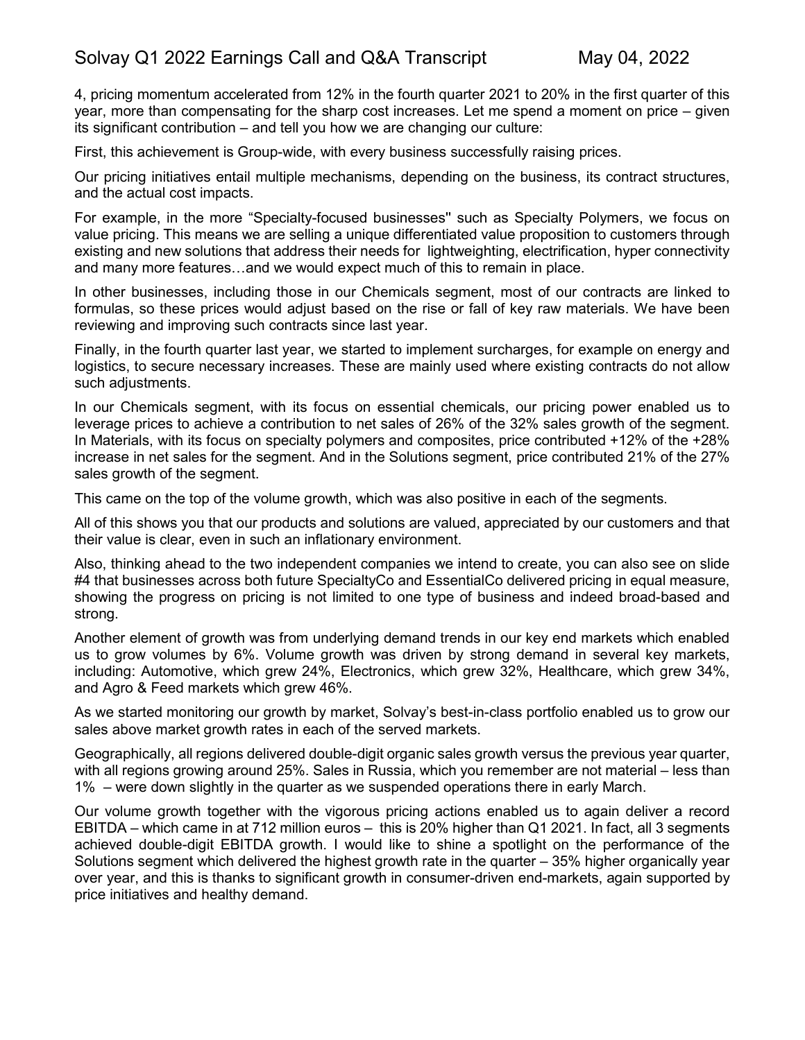4, pricing momentum accelerated from 12% in the fourth quarter 2021 to 20% in the first quarter of this year, more than compensating for the sharp cost increases. Let me spend a moment on price – given its significant contribution – and tell you how we are changing our culture:

First, this achievement is Group-wide, with every business successfully raising prices.

Our pricing initiatives entail multiple mechanisms, depending on the business, its contract structures, and the actual cost impacts.

For example, in the more "Specialty-focused businesses'' such as Specialty Polymers, we focus on value pricing. This means we are selling a unique differentiated value proposition to customers through existing and new solutions that address their needs for lightweighting, electrification, hyper connectivity and many more features…and we would expect much of this to remain in place.

In other businesses, including those in our Chemicals segment, most of our contracts are linked to formulas, so these prices would adjust based on the rise or fall of key raw materials. We have been reviewing and improving such contracts since last year.

Finally, in the fourth quarter last year, we started to implement surcharges, for example on energy and logistics, to secure necessary increases. These are mainly used where existing contracts do not allow such adjustments.

In our Chemicals segment, with its focus on essential chemicals, our pricing power enabled us to leverage prices to achieve a contribution to net sales of 26% of the 32% sales growth of the segment. In Materials, with its focus on specialty polymers and composites, price contributed +12% of the +28% increase in net sales for the segment. And in the Solutions segment, price contributed 21% of the 27% sales growth of the segment.

This came on the top of the volume growth, which was also positive in each of the segments.

All of this shows you that our products and solutions are valued, appreciated by our customers and that their value is clear, even in such an inflationary environment.

Also, thinking ahead to the two independent companies we intend to create, you can also see on slide #4 that businesses across both future SpecialtyCo and EssentialCo delivered pricing in equal measure, showing the progress on pricing is not limited to one type of business and indeed broad-based and strong.

Another element of growth was from underlying demand trends in our key end markets which enabled us to grow volumes by 6%. Volume growth was driven by strong demand in several key markets, including: Automotive, which grew 24%, Electronics, which grew 32%, Healthcare, which grew 34%, and Agro & Feed markets which grew 46%.

As we started monitoring our growth by market, Solvay's best-in-class portfolio enabled us to grow our sales above market growth rates in each of the served markets.

Geographically, all regions delivered double-digit organic sales growth versus the previous year quarter, with all regions growing around 25%. Sales in Russia, which you remember are not material – less than 1% – were down slightly in the quarter as we suspended operations there in early March.

Our volume growth together with the vigorous pricing actions enabled us to again deliver a record EBITDA – which came in at 712 million euros – this is 20% higher than Q1 2021. In fact, all 3 segments achieved double-digit EBITDA growth. I would like to shine a spotlight on the performance of the Solutions segment which delivered the highest growth rate in the quarter – 35% higher organically year over year, and this is thanks to significant growth in consumer-driven end-markets, again supported by price initiatives and healthy demand.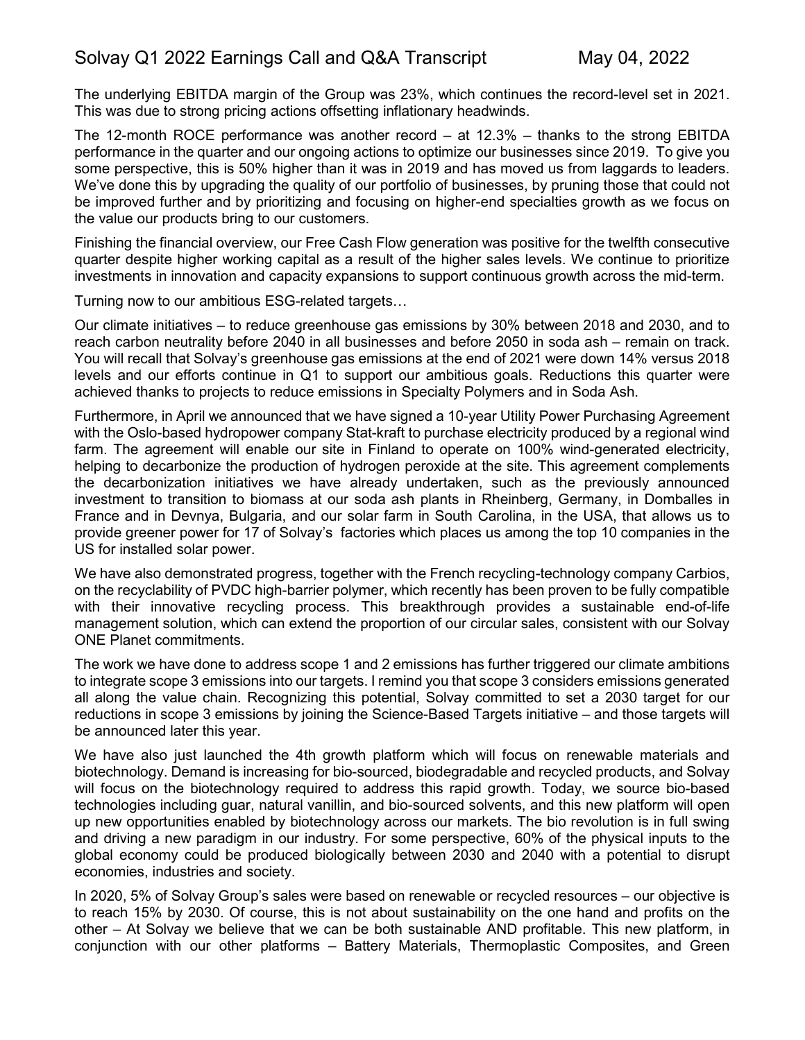The underlying EBITDA margin of the Group was 23%, which continues the record-level set in 2021. This was due to strong pricing actions offsetting inflationary headwinds.

The 12-month ROCE performance was another record – at 12.3% – thanks to the strong EBITDA performance in the quarter and our ongoing actions to optimize our businesses since 2019. To give you some perspective, this is 50% higher than it was in 2019 and has moved us from laggards to leaders. We've done this by upgrading the quality of our portfolio of businesses, by pruning those that could not be improved further and by prioritizing and focusing on higher-end specialties growth as we focus on the value our products bring to our customers.

Finishing the financial overview, our Free Cash Flow generation was positive for the twelfth consecutive quarter despite higher working capital as a result of the higher sales levels. We continue to prioritize investments in innovation and capacity expansions to support continuous growth across the mid-term.

Turning now to our ambitious ESG-related targets…

Our climate initiatives – to reduce greenhouse gas emissions by 30% between 2018 and 2030, and to reach carbon neutrality before 2040 in all businesses and before 2050 in soda ash – remain on track. You will recall that Solvay's greenhouse gas emissions at the end of 2021 were down 14% versus 2018 levels and our efforts continue in Q1 to support our ambitious goals. Reductions this quarter were achieved thanks to projects to reduce emissions in Specialty Polymers and in Soda Ash.

Furthermore, in April we announced that we have signed a 10-year Utility Power Purchasing Agreement with the Oslo-based hydropower company Stat-kraft to purchase electricity produced by a regional wind farm. The agreement will enable our site in Finland to operate on 100% wind-generated electricity, helping to decarbonize the production of hydrogen peroxide at the site. This agreement complements the decarbonization initiatives we have already undertaken, such as the previously announced investment to transition to biomass at our soda ash plants in Rheinberg, Germany, in Domballes in France and in Devnya, Bulgaria, and our solar farm in South Carolina, in the USA, that allows us to provide greener power for 17 of Solvay's factories which places us among the top 10 companies in the US for installed solar power.

We have also demonstrated progress, together with the French recycling-technology company Carbios, on the recyclability of PVDC high-barrier polymer, which recently has been proven to be fully compatible with their innovative recycling process. This breakthrough provides a sustainable end-of-life management solution, which can extend the proportion of our circular sales, consistent with our Solvay ONE Planet commitments.

The work we have done to address scope 1 and 2 emissions has further triggered our climate ambitions to integrate scope 3 emissions into our targets. I remind you that scope 3 considers emissions generated all along the value chain. Recognizing this potential, Solvay committed to set a 2030 target for our reductions in scope 3 emissions by joining the Science-Based Targets initiative – and those targets will be announced later this year.

We have also just launched the 4th growth platform which will focus on renewable materials and biotechnology. Demand is increasing for bio-sourced, biodegradable and recycled products, and Solvay will focus on the biotechnology required to address this rapid growth. Today, we source bio-based technologies including guar, natural vanillin, and bio-sourced solvents, and this new platform will open up new opportunities enabled by biotechnology across our markets. The bio revolution is in full swing and driving a new paradigm in our industry. For some perspective, 60% of the physical inputs to the global economy could be produced biologically between 2030 and 2040 with a potential to disrupt economies, industries and society.

In 2020, 5% of Solvay Group's sales were based on renewable or recycled resources – our objective is to reach 15% by 2030. Of course, this is not about sustainability on the one hand and profits on the other – At Solvay we believe that we can be both sustainable AND profitable. This new platform, in conjunction with our other platforms – Battery Materials, Thermoplastic Composites, and Green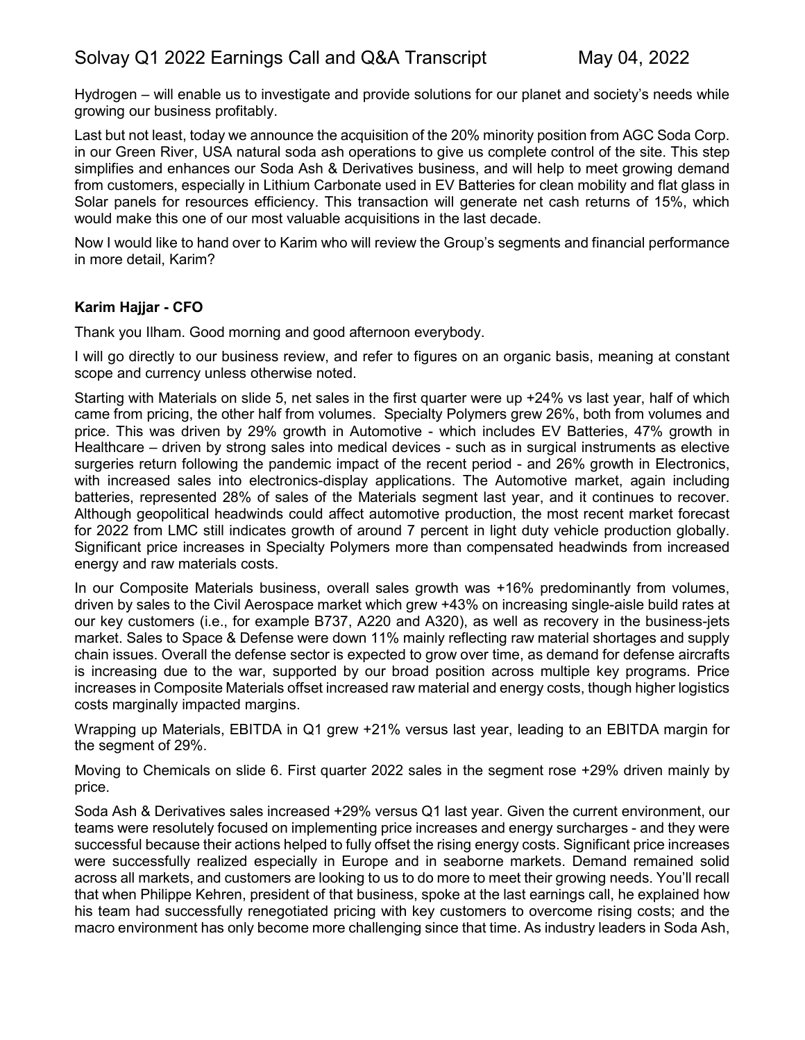Hydrogen – will enable us to investigate and provide solutions for our planet and society's needs while growing our business profitably.

Last but not least, today we announce the acquisition of the 20% minority position from AGC Soda Corp. in our Green River, USA natural soda ash operations to give us complete control of the site. This step simplifies and enhances our Soda Ash & Derivatives business, and will help to meet growing demand from customers, especially in Lithium Carbonate used in EV Batteries for clean mobility and flat glass in Solar panels for resources efficiency. This transaction will generate net cash returns of 15%, which would make this one of our most valuable acquisitions in the last decade.

Now I would like to hand over to Karim who will review the Group's segments and financial performance in more detail, Karim?

#### **Karim Hajjar - CFO**

Thank you Ilham. Good morning and good afternoon everybody.

I will go directly to our business review, and refer to figures on an organic basis, meaning at constant scope and currency unless otherwise noted.

Starting with Materials on slide 5, net sales in the first quarter were up +24% vs last year, half of which came from pricing, the other half from volumes. Specialty Polymers grew 26%, both from volumes and price. This was driven by 29% growth in Automotive - which includes EV Batteries, 47% growth in Healthcare – driven by strong sales into medical devices - such as in surgical instruments as elective surgeries return following the pandemic impact of the recent period - and 26% growth in Electronics, with increased sales into electronics-display applications. The Automotive market, again including batteries, represented 28% of sales of the Materials segment last year, and it continues to recover. Although geopolitical headwinds could affect automotive production, the most recent market forecast for 2022 from LMC still indicates growth of around 7 percent in light duty vehicle production globally. Significant price increases in Specialty Polymers more than compensated headwinds from increased energy and raw materials costs.

In our Composite Materials business, overall sales growth was +16% predominantly from volumes, driven by sales to the Civil Aerospace market which grew +43% on increasing single-aisle build rates at our key customers (i.e., for example B737, A220 and A320), as well as recovery in the business-jets market. Sales to Space & Defense were down 11% mainly reflecting raw material shortages and supply chain issues. Overall the defense sector is expected to grow over time, as demand for defense aircrafts is increasing due to the war, supported by our broad position across multiple key programs. Price increases in Composite Materials offset increased raw material and energy costs, though higher logistics costs marginally impacted margins.

Wrapping up Materials, EBITDA in Q1 grew +21% versus last year, leading to an EBITDA margin for the segment of 29%.

Moving to Chemicals on slide 6. First quarter 2022 sales in the segment rose +29% driven mainly by price.

Soda Ash & Derivatives sales increased +29% versus Q1 last year. Given the current environment, our teams were resolutely focused on implementing price increases and energy surcharges - and they were successful because their actions helped to fully offset the rising energy costs. Significant price increases were successfully realized especially in Europe and in seaborne markets. Demand remained solid across all markets, and customers are looking to us to do more to meet their growing needs. You'll recall that when Philippe Kehren, president of that business, spoke at the last earnings call, he explained how his team had successfully renegotiated pricing with key customers to overcome rising costs; and the macro environment has only become more challenging since that time. As industry leaders in Soda Ash,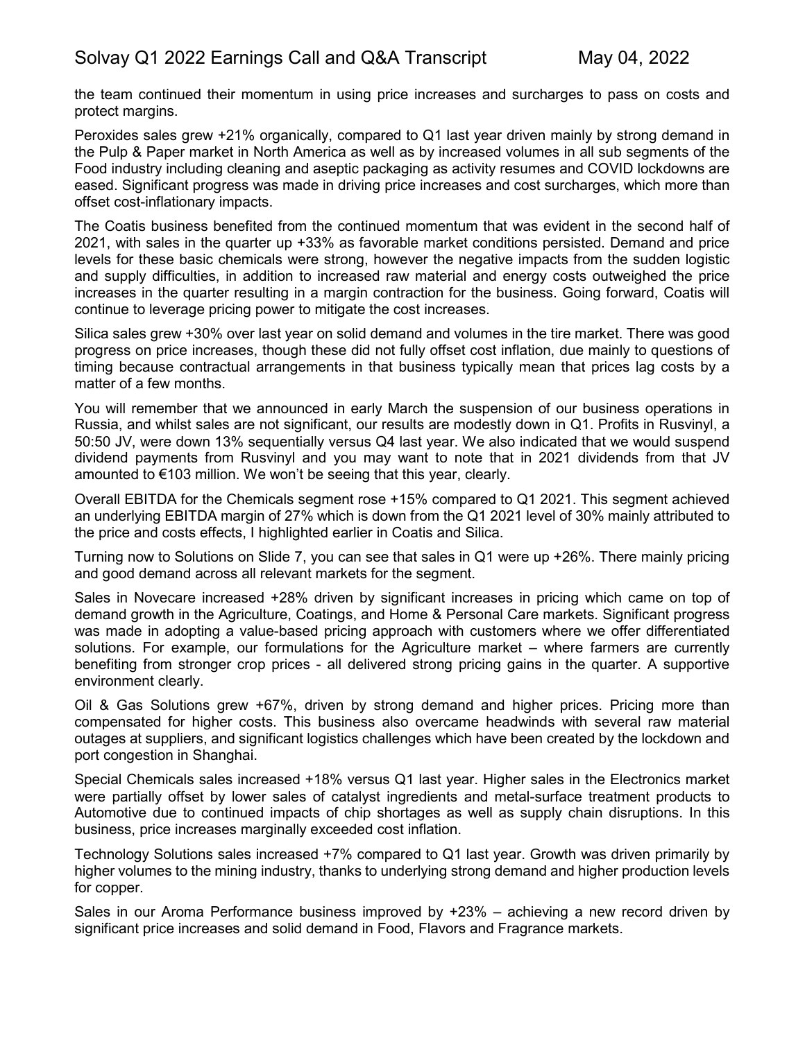the team continued their momentum in using price increases and surcharges to pass on costs and protect margins.

Peroxides sales grew +21% organically, compared to Q1 last year driven mainly by strong demand in the Pulp & Paper market in North America as well as by increased volumes in all sub segments of the Food industry including cleaning and aseptic packaging as activity resumes and COVID lockdowns are eased. Significant progress was made in driving price increases and cost surcharges, which more than offset cost-inflationary impacts.

The Coatis business benefited from the continued momentum that was evident in the second half of 2021, with sales in the quarter up +33% as favorable market conditions persisted. Demand and price levels for these basic chemicals were strong, however the negative impacts from the sudden logistic and supply difficulties, in addition to increased raw material and energy costs outweighed the price increases in the quarter resulting in a margin contraction for the business. Going forward, Coatis will continue to leverage pricing power to mitigate the cost increases.

Silica sales grew +30% over last year on solid demand and volumes in the tire market. There was good progress on price increases, though these did not fully offset cost inflation, due mainly to questions of timing because contractual arrangements in that business typically mean that prices lag costs by a matter of a few months.

You will remember that we announced in early March the suspension of our business operations in Russia, and whilst sales are not significant, our results are modestly down in Q1. Profits in Rusvinyl, a 50:50 JV, were down 13% sequentially versus Q4 last year. We also indicated that we would suspend dividend payments from Rusvinyl and you may want to note that in 2021 dividends from that JV amounted to €103 million. We won't be seeing that this year, clearly.

Overall EBITDA for the Chemicals segment rose +15% compared to Q1 2021. This segment achieved an underlying EBITDA margin of 27% which is down from the Q1 2021 level of 30% mainly attributed to the price and costs effects, I highlighted earlier in Coatis and Silica.

Turning now to Solutions on Slide 7, you can see that sales in Q1 were up +26%. There mainly pricing and good demand across all relevant markets for the segment.

Sales in Novecare increased +28% driven by significant increases in pricing which came on top of demand growth in the Agriculture, Coatings, and Home & Personal Care markets. Significant progress was made in adopting a value-based pricing approach with customers where we offer differentiated solutions. For example, our formulations for the Agriculture market – where farmers are currently benefiting from stronger crop prices - all delivered strong pricing gains in the quarter. A supportive environment clearly.

Oil & Gas Solutions grew +67%, driven by strong demand and higher prices. Pricing more than compensated for higher costs. This business also overcame headwinds with several raw material outages at suppliers, and significant logistics challenges which have been created by the lockdown and port congestion in Shanghai.

Special Chemicals sales increased +18% versus Q1 last year. Higher sales in the Electronics market were partially offset by lower sales of catalyst ingredients and metal-surface treatment products to Automotive due to continued impacts of chip shortages as well as supply chain disruptions. In this business, price increases marginally exceeded cost inflation.

Technology Solutions sales increased +7% compared to Q1 last year. Growth was driven primarily by higher volumes to the mining industry, thanks to underlying strong demand and higher production levels for copper.

Sales in our Aroma Performance business improved by +23% – achieving a new record driven by significant price increases and solid demand in Food, Flavors and Fragrance markets.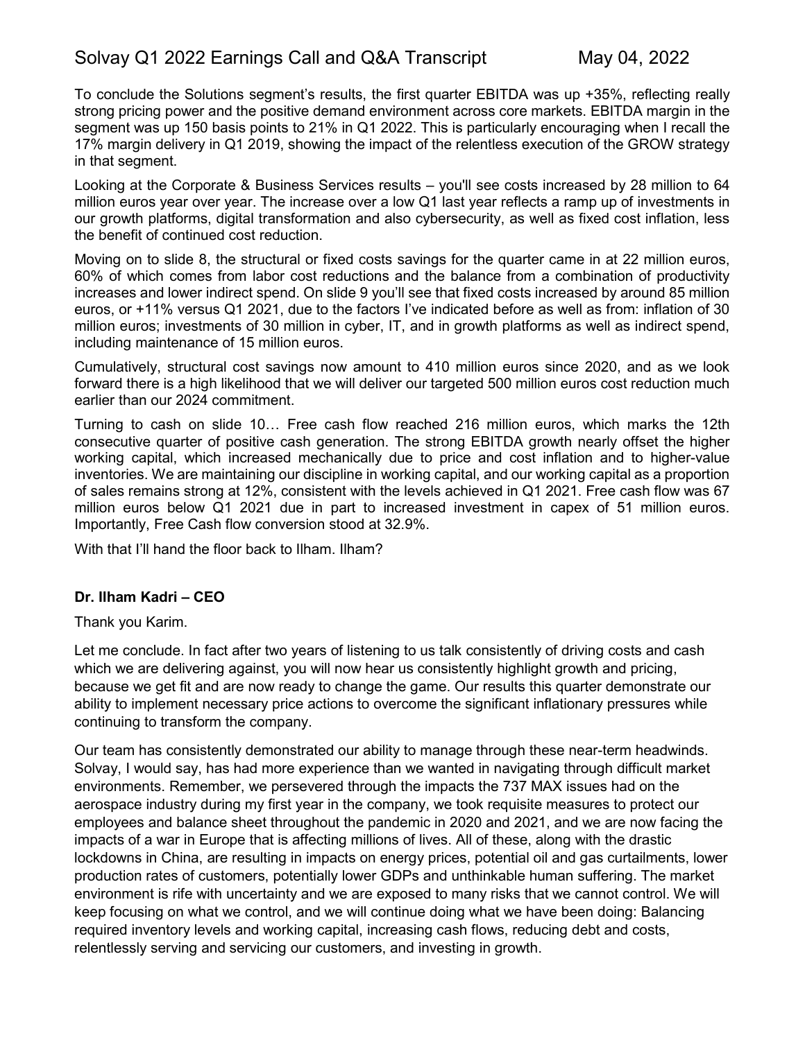To conclude the Solutions segment's results, the first quarter EBITDA was up +35%, reflecting really strong pricing power and the positive demand environment across core markets. EBITDA margin in the segment was up 150 basis points to 21% in Q1 2022. This is particularly encouraging when I recall the 17% margin delivery in Q1 2019, showing the impact of the relentless execution of the GROW strategy in that segment.

Looking at the Corporate & Business Services results – you'll see costs increased by 28 million to 64 million euros year over year. The increase over a low Q1 last year reflects a ramp up of investments in our growth platforms, digital transformation and also cybersecurity, as well as fixed cost inflation, less the benefit of continued cost reduction.

Moving on to slide 8, the structural or fixed costs savings for the quarter came in at 22 million euros, 60% of which comes from labor cost reductions and the balance from a combination of productivity increases and lower indirect spend. On slide 9 you'll see that fixed costs increased by around 85 million euros, or +11% versus Q1 2021, due to the factors I've indicated before as well as from: inflation of 30 million euros; investments of 30 million in cyber, IT, and in growth platforms as well as indirect spend, including maintenance of 15 million euros.

Cumulatively, structural cost savings now amount to 410 million euros since 2020, and as we look forward there is a high likelihood that we will deliver our targeted 500 million euros cost reduction much earlier than our 2024 commitment.

Turning to cash on slide 10… Free cash flow reached 216 million euros, which marks the 12th consecutive quarter of positive cash generation. The strong EBITDA growth nearly offset the higher working capital, which increased mechanically due to price and cost inflation and to higher-value inventories. We are maintaining our discipline in working capital, and our working capital as a proportion of sales remains strong at 12%, consistent with the levels achieved in Q1 2021. Free cash flow was 67 million euros below Q1 2021 due in part to increased investment in capex of 51 million euros. Importantly, Free Cash flow conversion stood at 32.9%.

With that I'll hand the floor back to Ilham. Ilham?

#### **Dr. Ilham Kadri – CEO**

Thank you Karim.

Let me conclude. In fact after two years of listening to us talk consistently of driving costs and cash which we are delivering against, you will now hear us consistently highlight growth and pricing, because we get fit and are now ready to change the game. Our results this quarter demonstrate our ability to implement necessary price actions to overcome the significant inflationary pressures while continuing to transform the company.

Our team has consistently demonstrated our ability to manage through these near-term headwinds. Solvay, I would say, has had more experience than we wanted in navigating through difficult market environments. Remember, we persevered through the impacts the 737 MAX issues had on the aerospace industry during my first year in the company, we took requisite measures to protect our employees and balance sheet throughout the pandemic in 2020 and 2021, and we are now facing the impacts of a war in Europe that is affecting millions of lives. All of these, along with the drastic lockdowns in China, are resulting in impacts on energy prices, potential oil and gas curtailments, lower production rates of customers, potentially lower GDPs and unthinkable human suffering. The market environment is rife with uncertainty and we are exposed to many risks that we cannot control. We will keep focusing on what we control, and we will continue doing what we have been doing: Balancing required inventory levels and working capital, increasing cash flows, reducing debt and costs, relentlessly serving and servicing our customers, and investing in growth.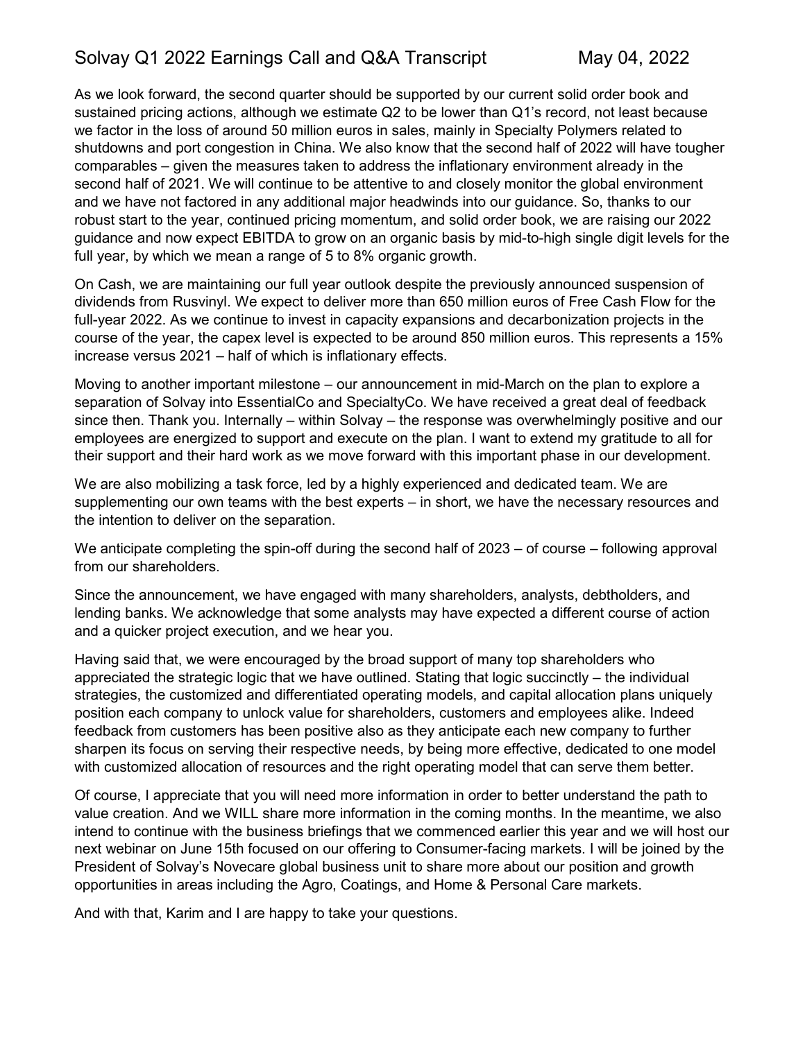As we look forward, the second quarter should be supported by our current solid order book and sustained pricing actions, although we estimate Q2 to be lower than Q1's record, not least because we factor in the loss of around 50 million euros in sales, mainly in Specialty Polymers related to shutdowns and port congestion in China. We also know that the second half of 2022 will have tougher comparables – given the measures taken to address the inflationary environment already in the second half of 2021. We will continue to be attentive to and closely monitor the global environment and we have not factored in any additional major headwinds into our guidance. So, thanks to our robust start to the year, continued pricing momentum, and solid order book, we are raising our 2022 guidance and now expect EBITDA to grow on an organic basis by mid-to-high single digit levels for the full year, by which we mean a range of 5 to 8% organic growth.

On Cash, we are maintaining our full year outlook despite the previously announced suspension of dividends from Rusvinyl. We expect to deliver more than 650 million euros of Free Cash Flow for the full-year 2022. As we continue to invest in capacity expansions and decarbonization projects in the course of the year, the capex level is expected to be around 850 million euros. This represents a 15% increase versus 2021 – half of which is inflationary effects.

Moving to another important milestone – our announcement in mid-March on the plan to explore a separation of Solvay into EssentialCo and SpecialtyCo. We have received a great deal of feedback since then. Thank you. Internally – within Solvay – the response was overwhelmingly positive and our employees are energized to support and execute on the plan. I want to extend my gratitude to all for their support and their hard work as we move forward with this important phase in our development.

We are also mobilizing a task force, led by a highly experienced and dedicated team. We are supplementing our own teams with the best experts – in short, we have the necessary resources and the intention to deliver on the separation.

We anticipate completing the spin-off during the second half of 2023 – of course – following approval from our shareholders.

Since the announcement, we have engaged with many shareholders, analysts, debtholders, and lending banks. We acknowledge that some analysts may have expected a different course of action and a quicker project execution, and we hear you.

Having said that, we were encouraged by the broad support of many top shareholders who appreciated the strategic logic that we have outlined. Stating that logic succinctly – the individual strategies, the customized and differentiated operating models, and capital allocation plans uniquely position each company to unlock value for shareholders, customers and employees alike. Indeed feedback from customers has been positive also as they anticipate each new company to further sharpen its focus on serving their respective needs, by being more effective, dedicated to one model with customized allocation of resources and the right operating model that can serve them better.

Of course, I appreciate that you will need more information in order to better understand the path to value creation. And we WILL share more information in the coming months. In the meantime, we also intend to continue with the business briefings that we commenced earlier this year and we will host our next webinar on June 15th focused on our offering to Consumer-facing markets. I will be joined by the President of Solvay's Novecare global business unit to share more about our position and growth opportunities in areas including the Agro, Coatings, and Home & Personal Care markets.

And with that, Karim and I are happy to take your questions.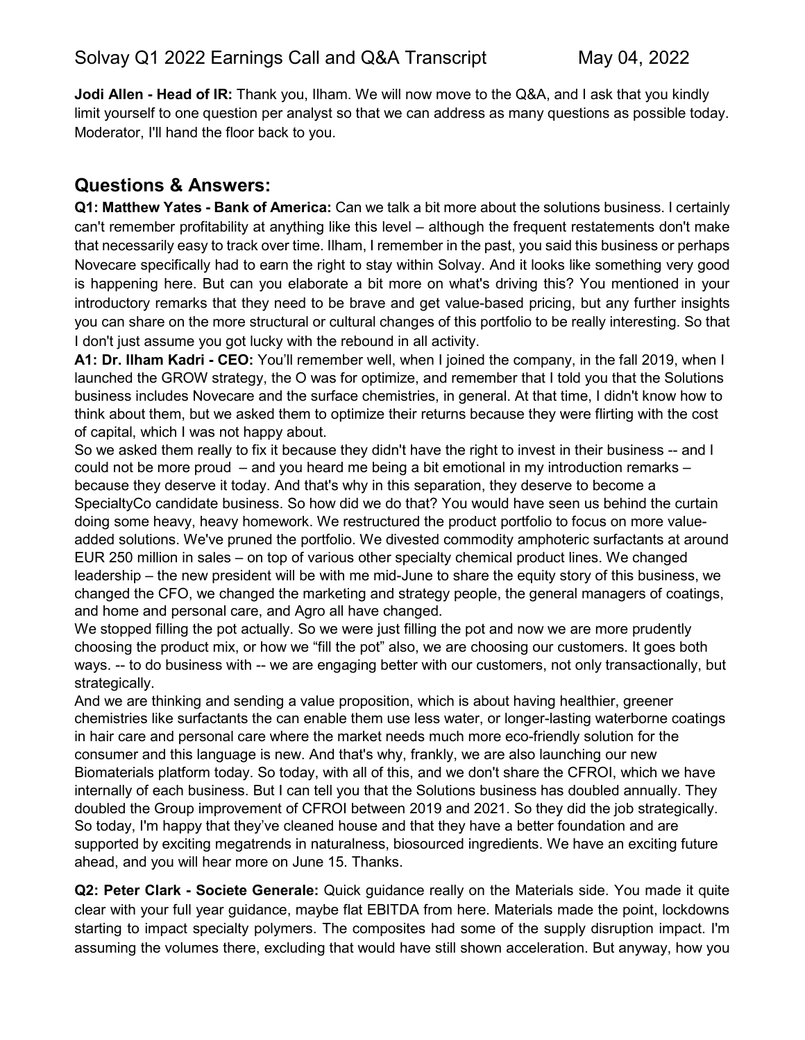**Jodi Allen - Head of IR:** Thank you, Ilham. We will now move to the Q&A, and I ask that you kindly limit yourself to one question per analyst so that we can address as many questions as possible today. Moderator, I'll hand the floor back to you.

# **Questions & Answers:**

**Q1: Matthew Yates - Bank of America:** Can we talk a bit more about the solutions business. I certainly can't remember profitability at anything like this level – although the frequent restatements don't make that necessarily easy to track over time. Ilham, I remember in the past, you said this business or perhaps Novecare specifically had to earn the right to stay within Solvay. And it looks like something very good is happening here. But can you elaborate a bit more on what's driving this? You mentioned in your introductory remarks that they need to be brave and get value-based pricing, but any further insights you can share on the more structural or cultural changes of this portfolio to be really interesting. So that I don't just assume you got lucky with the rebound in all activity.

**A1: Dr. Ilham Kadri - CEO:** You'll remember well, when I joined the company, in the fall 2019, when I launched the GROW strategy, the O was for optimize, and remember that I told you that the Solutions business includes Novecare and the surface chemistries, in general. At that time, I didn't know how to think about them, but we asked them to optimize their returns because they were flirting with the cost of capital, which I was not happy about.

So we asked them really to fix it because they didn't have the right to invest in their business -- and I could not be more proud – and you heard me being a bit emotional in my introduction remarks – because they deserve it today. And that's why in this separation, they deserve to become a SpecialtyCo candidate business. So how did we do that? You would have seen us behind the curtain doing some heavy, heavy homework. We restructured the product portfolio to focus on more valueadded solutions. We've pruned the portfolio. We divested commodity amphoteric surfactants at around EUR 250 million in sales – on top of various other specialty chemical product lines. We changed leadership – the new president will be with me mid-June to share the equity story of this business, we changed the CFO, we changed the marketing and strategy people, the general managers of coatings, and home and personal care, and Agro all have changed.

We stopped filling the pot actually. So we were just filling the pot and now we are more prudently choosing the product mix, or how we "fill the pot" also, we are choosing our customers. It goes both ways. -- to do business with -- we are engaging better with our customers, not only transactionally, but strategically.

And we are thinking and sending a value proposition, which is about having healthier, greener chemistries like surfactants the can enable them use less water, or longer-lasting waterborne coatings in hair care and personal care where the market needs much more eco-friendly solution for the consumer and this language is new. And that's why, frankly, we are also launching our new Biomaterials platform today. So today, with all of this, and we don't share the CFROI, which we have internally of each business. But I can tell you that the Solutions business has doubled annually. They doubled the Group improvement of CFROI between 2019 and 2021. So they did the job strategically. So today, I'm happy that they've cleaned house and that they have a better foundation and are supported by exciting megatrends in naturalness, biosourced ingredients. We have an exciting future ahead, and you will hear more on June 15. Thanks.

**Q2: Peter Clark - Societe Generale:** Quick guidance really on the Materials side. You made it quite clear with your full year guidance, maybe flat EBITDA from here. Materials made the point, lockdowns starting to impact specialty polymers. The composites had some of the supply disruption impact. I'm assuming the volumes there, excluding that would have still shown acceleration. But anyway, how you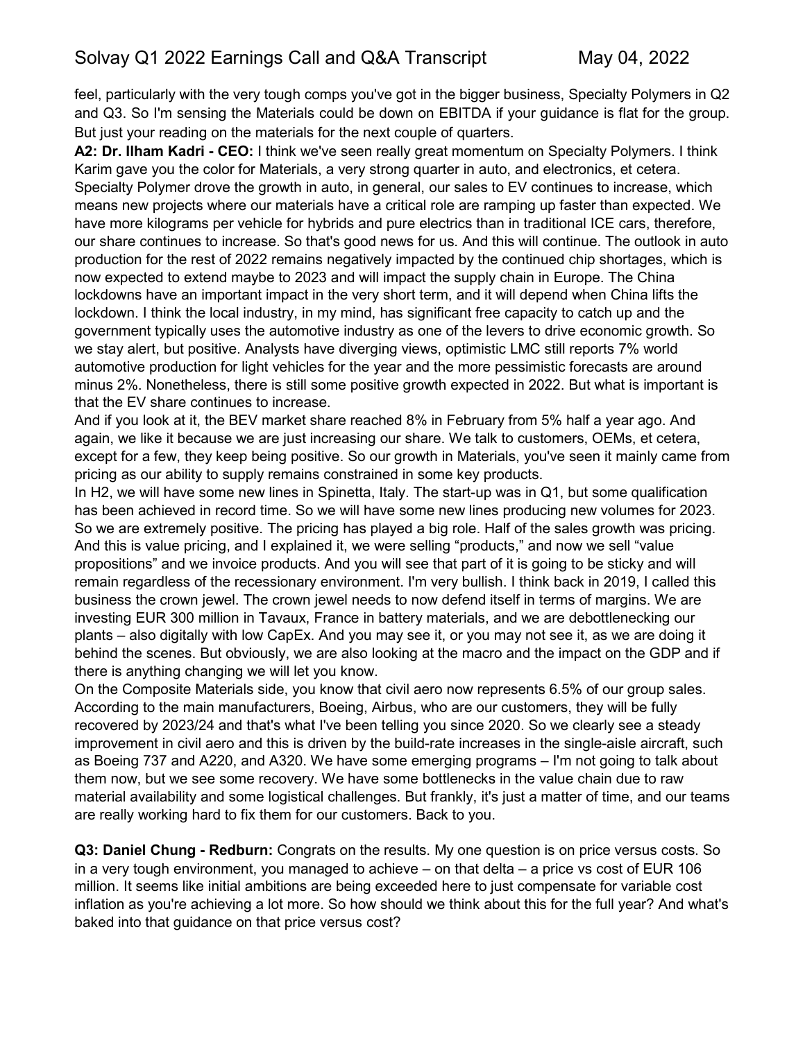feel, particularly with the very tough comps you've got in the bigger business, Specialty Polymers in Q2 and Q3. So I'm sensing the Materials could be down on EBITDA if your guidance is flat for the group. But just your reading on the materials for the next couple of quarters.

**A2: Dr. Ilham Kadri - CEO:** I think we've seen really great momentum on Specialty Polymers. I think Karim gave you the color for Materials, a very strong quarter in auto, and electronics, et cetera. Specialty Polymer drove the growth in auto, in general, our sales to EV continues to increase, which means new projects where our materials have a critical role are ramping up faster than expected. We have more kilograms per vehicle for hybrids and pure electrics than in traditional ICE cars, therefore, our share continues to increase. So that's good news for us. And this will continue. The outlook in auto production for the rest of 2022 remains negatively impacted by the continued chip shortages, which is now expected to extend maybe to 2023 and will impact the supply chain in Europe. The China lockdowns have an important impact in the very short term, and it will depend when China lifts the lockdown. I think the local industry, in my mind, has significant free capacity to catch up and the government typically uses the automotive industry as one of the levers to drive economic growth. So we stay alert, but positive. Analysts have diverging views, optimistic LMC still reports 7% world automotive production for light vehicles for the year and the more pessimistic forecasts are around minus 2%. Nonetheless, there is still some positive growth expected in 2022. But what is important is that the EV share continues to increase.

And if you look at it, the BEV market share reached 8% in February from 5% half a year ago. And again, we like it because we are just increasing our share. We talk to customers, OEMs, et cetera, except for a few, they keep being positive. So our growth in Materials, you've seen it mainly came from pricing as our ability to supply remains constrained in some key products.

In H2, we will have some new lines in Spinetta, Italy. The start-up was in Q1, but some qualification has been achieved in record time. So we will have some new lines producing new volumes for 2023. So we are extremely positive. The pricing has played a big role. Half of the sales growth was pricing. And this is value pricing, and I explained it, we were selling "products," and now we sell "value propositions" and we invoice products. And you will see that part of it is going to be sticky and will remain regardless of the recessionary environment. I'm very bullish. I think back in 2019, I called this business the crown jewel. The crown jewel needs to now defend itself in terms of margins. We are investing EUR 300 million in Tavaux, France in battery materials, and we are debottlenecking our plants – also digitally with low CapEx. And you may see it, or you may not see it, as we are doing it behind the scenes. But obviously, we are also looking at the macro and the impact on the GDP and if there is anything changing we will let you know.

On the Composite Materials side, you know that civil aero now represents 6.5% of our group sales. According to the main manufacturers, Boeing, Airbus, who are our customers, they will be fully recovered by 2023/24 and that's what I've been telling you since 2020. So we clearly see a steady improvement in civil aero and this is driven by the build-rate increases in the single-aisle aircraft, such as Boeing 737 and A220, and A320. We have some emerging programs – I'm not going to talk about them now, but we see some recovery. We have some bottlenecks in the value chain due to raw material availability and some logistical challenges. But frankly, it's just a matter of time, and our teams are really working hard to fix them for our customers. Back to you.

**Q3: Daniel Chung - Redburn:** Congrats on the results. My one question is on price versus costs. So in a very tough environment, you managed to achieve – on that delta – a price vs cost of EUR 106 million. It seems like initial ambitions are being exceeded here to just compensate for variable cost inflation as you're achieving a lot more. So how should we think about this for the full year? And what's baked into that guidance on that price versus cost?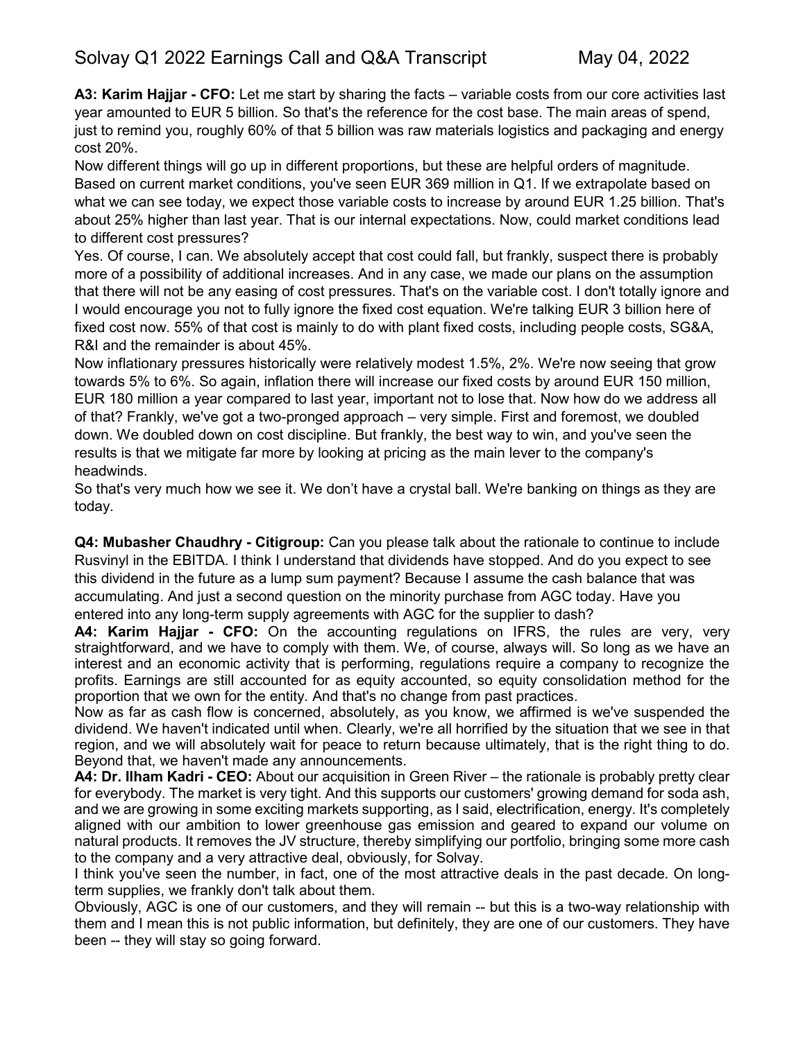**A3: Karim Hajjar - CFO:** Let me start by sharing the facts – variable costs from our core activities last year amounted to EUR 5 billion. So that's the reference for the cost base. The main areas of spend, just to remind you, roughly 60% of that 5 billion was raw materials logistics and packaging and energy cost 20%.

Now different things will go up in different proportions, but these are helpful orders of magnitude. Based on current market conditions, you've seen EUR 369 million in Q1. If we extrapolate based on what we can see today, we expect those variable costs to increase by around EUR 1.25 billion. That's about 25% higher than last year. That is our internal expectations. Now, could market conditions lead to different cost pressures?

Yes. Of course, I can. We absolutely accept that cost could fall, but frankly, suspect there is probably more of a possibility of additional increases. And in any case, we made our plans on the assumption that there will not be any easing of cost pressures. That's on the variable cost. I don't totally ignore and I would encourage you not to fully ignore the fixed cost equation. We're talking EUR 3 billion here of fixed cost now. 55% of that cost is mainly to do with plant fixed costs, including people costs, SG&A, R&I and the remainder is about 45%.

Now inflationary pressures historically were relatively modest 1.5%, 2%. We're now seeing that grow towards 5% to 6%. So again, inflation there will increase our fixed costs by around EUR 150 million, EUR 180 million a year compared to last year, important not to lose that. Now how do we address all of that? Frankly, we've got a two-pronged approach – very simple. First and foremost, we doubled down. We doubled down on cost discipline. But frankly, the best way to win, and you've seen the results is that we mitigate far more by looking at pricing as the main lever to the company's headwinds.

So that's very much how we see it. We don't have a crystal ball. We're banking on things as they are today.

**Q4: Mubasher Chaudhry - Citigroup:** Can you please talk about the rationale to continue to include Rusvinyl in the EBITDA. I think I understand that dividends have stopped. And do you expect to see this dividend in the future as a lump sum payment? Because I assume the cash balance that was accumulating. And just a second question on the minority purchase from AGC today. Have you entered into any long-term supply agreements with AGC for the supplier to dash?

**A4: Karim Hajjar - CFO:** On the accounting regulations on IFRS, the rules are very, very straightforward, and we have to comply with them. We, of course, always will. So long as we have an interest and an economic activity that is performing, regulations require a company to recognize the profits. Earnings are still accounted for as equity accounted, so equity consolidation method for the proportion that we own for the entity. And that's no change from past practices.

Now as far as cash flow is concerned, absolutely, as you know, we affirmed is we've suspended the dividend. We haven't indicated until when. Clearly, we're all horrified by the situation that we see in that region, and we will absolutely wait for peace to return because ultimately, that is the right thing to do. Beyond that, we haven't made any announcements.

**A4: Dr. Ilham Kadri - CEO:** About our acquisition in Green River – the rationale is probably pretty clear for everybody. The market is very tight. And this supports our customers' growing demand for soda ash, and we are growing in some exciting markets supporting, as I said, electrification, energy. It's completely aligned with our ambition to lower greenhouse gas emission and geared to expand our volume on natural products. It removes the JV structure, thereby simplifying our portfolio, bringing some more cash to the company and a very attractive deal, obviously, for Solvay.

I think you've seen the number, in fact, one of the most attractive deals in the past decade. On longterm supplies, we frankly don't talk about them.

Obviously, AGC is one of our customers, and they will remain -- but this is a two-way relationship with them and I mean this is not public information, but definitely, they are one of our customers. They have been -- they will stay so going forward.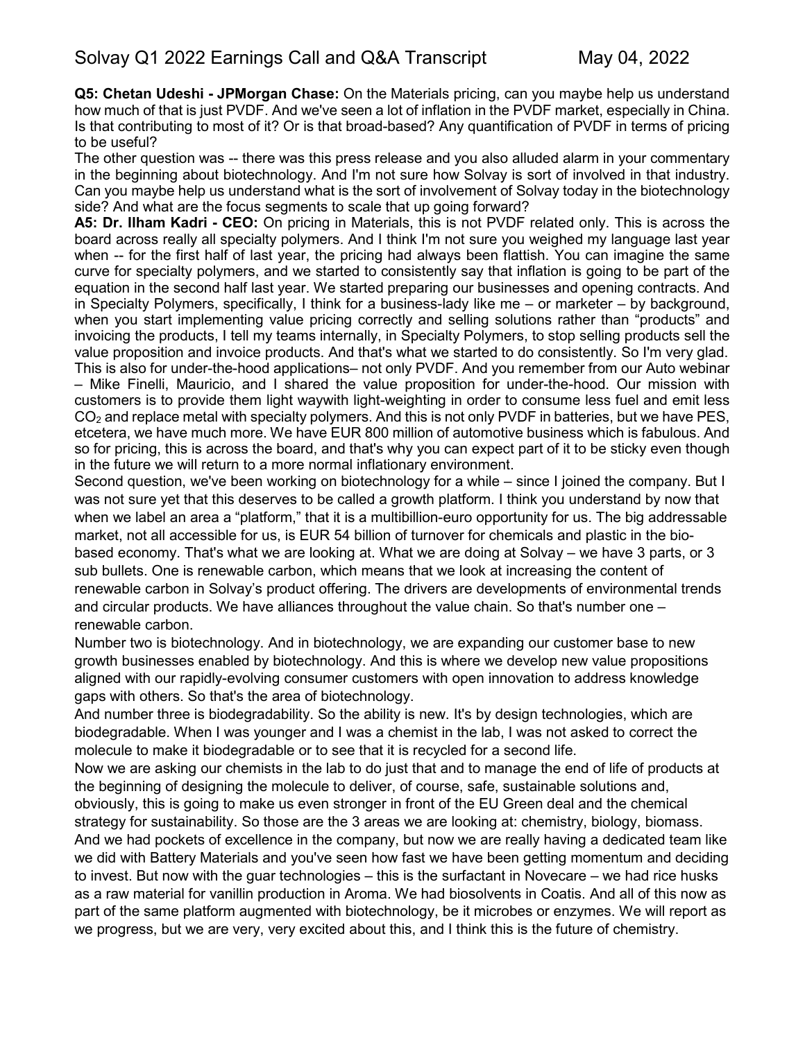**Q5: Chetan Udeshi - JPMorgan Chase:** On the Materials pricing, can you maybe help us understand how much of that is just PVDF. And we've seen a lot of inflation in the PVDF market, especially in China. Is that contributing to most of it? Or is that broad-based? Any quantification of PVDF in terms of pricing to be useful?

The other question was -- there was this press release and you also alluded alarm in your commentary in the beginning about biotechnology. And I'm not sure how Solvay is sort of involved in that industry. Can you maybe help us understand what is the sort of involvement of Solvay today in the biotechnology side? And what are the focus segments to scale that up going forward?

**A5: Dr. Ilham Kadri - CEO:** On pricing in Materials, this is not PVDF related only. This is across the board across really all specialty polymers. And I think I'm not sure you weighed my language last year when -- for the first half of last year, the pricing had always been flattish. You can imagine the same curve for specialty polymers, and we started to consistently say that inflation is going to be part of the equation in the second half last year. We started preparing our businesses and opening contracts. And in Specialty Polymers, specifically, I think for a business-lady like me – or marketer – by background, when you start implementing value pricing correctly and selling solutions rather than "products" and invoicing the products, I tell my teams internally, in Specialty Polymers, to stop selling products sell the value proposition and invoice products. And that's what we started to do consistently. So I'm very glad. This is also for under-the-hood applications– not only PVDF. And you remember from our Auto webinar – Mike Finelli, Mauricio, and I shared the value proposition for under-the-hood. Our mission with customers is to provide them light waywith light-weighting in order to consume less fuel and emit less  $CO<sub>2</sub>$  and replace metal with specialty polymers. And this is not only PVDF in batteries, but we have PES, etcetera, we have much more. We have EUR 800 million of automotive business which is fabulous. And so for pricing, this is across the board, and that's why you can expect part of it to be sticky even though in the future we will return to a more normal inflationary environment.

Second question, we've been working on biotechnology for a while – since I joined the company. But I was not sure yet that this deserves to be called a growth platform. I think you understand by now that when we label an area a "platform," that it is a multibillion-euro opportunity for us. The big addressable market, not all accessible for us, is EUR 54 billion of turnover for chemicals and plastic in the biobased economy. That's what we are looking at. What we are doing at Solvay – we have 3 parts, or 3 sub bullets. One is renewable carbon, which means that we look at increasing the content of renewable carbon in Solvay's product offering. The drivers are developments of environmental trends and circular products. We have alliances throughout the value chain. So that's number one – renewable carbon.

Number two is biotechnology. And in biotechnology, we are expanding our customer base to new growth businesses enabled by biotechnology. And this is where we develop new value propositions aligned with our rapidly-evolving consumer customers with open innovation to address knowledge gaps with others. So that's the area of biotechnology.

And number three is biodegradability. So the ability is new. It's by design technologies, which are biodegradable. When I was younger and I was a chemist in the lab, I was not asked to correct the molecule to make it biodegradable or to see that it is recycled for a second life.

Now we are asking our chemists in the lab to do just that and to manage the end of life of products at the beginning of designing the molecule to deliver, of course, safe, sustainable solutions and,

obviously, this is going to make us even stronger in front of the EU Green deal and the chemical strategy for sustainability. So those are the 3 areas we are looking at: chemistry, biology, biomass. And we had pockets of excellence in the company, but now we are really having a dedicated team like we did with Battery Materials and you've seen how fast we have been getting momentum and deciding to invest. But now with the guar technologies – this is the surfactant in Novecare – we had rice husks as a raw material for vanillin production in Aroma. We had biosolvents in Coatis. And all of this now as part of the same platform augmented with biotechnology, be it microbes or enzymes. We will report as we progress, but we are very, very excited about this, and I think this is the future of chemistry.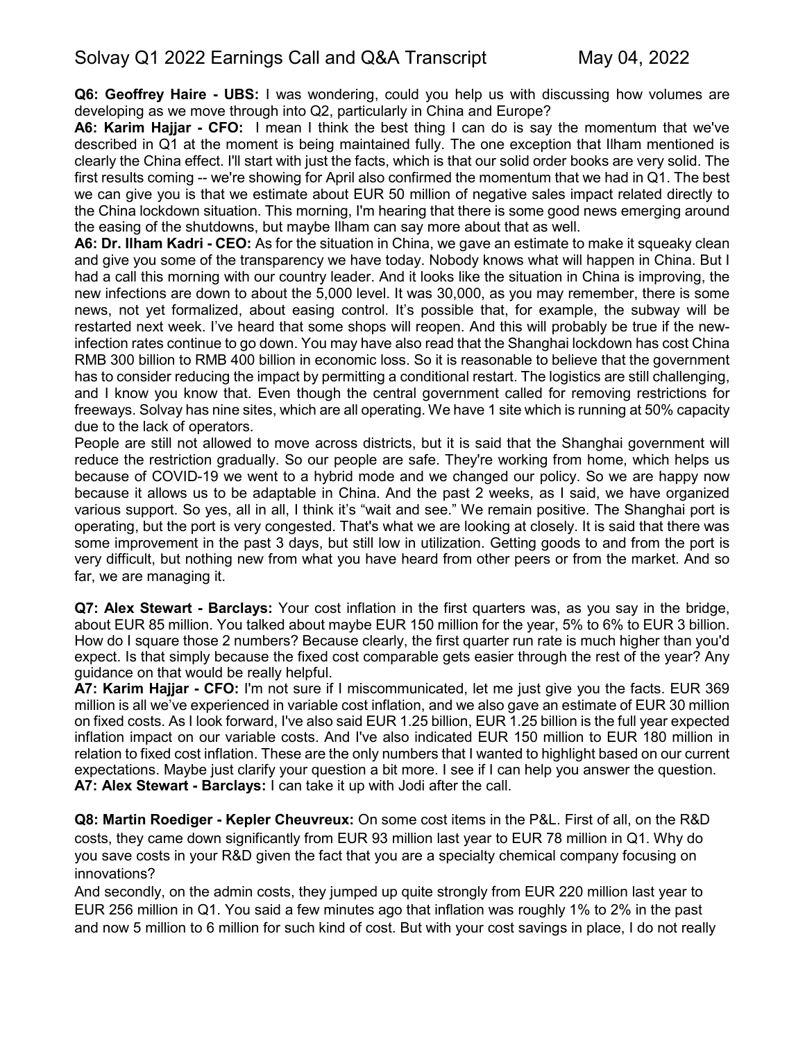**Q6: Geoffrey Haire - UBS:** I was wondering, could you help us with discussing how volumes are developing as we move through into Q2, particularly in China and Europe?

**A6: Karim Hajjar - CFO:** I mean I think the best thing I can do is say the momentum that we've described in Q1 at the moment is being maintained fully. The one exception that Ilham mentioned is clearly the China effect. I'll start with just the facts, which is that our solid order books are very solid. The first results coming -- we're showing for April also confirmed the momentum that we had in Q1. The best we can give you is that we estimate about EUR 50 million of negative sales impact related directly to the China lockdown situation. This morning, I'm hearing that there is some good news emerging around the easing of the shutdowns, but maybe Ilham can say more about that as well.

**A6: Dr. Ilham Kadri - CEO:** As for the situation in China, we gave an estimate to make it squeaky clean and give you some of the transparency we have today. Nobody knows what will happen in China. But I had a call this morning with our country leader. And it looks like the situation in China is improving, the new infections are down to about the 5,000 level. It was 30,000, as you may remember, there is some news, not yet formalized, about easing control. It's possible that, for example, the subway will be restarted next week. I've heard that some shops will reopen. And this will probably be true if the newinfection rates continue to go down. You may have also read that the Shanghai lockdown has cost China RMB 300 billion to RMB 400 billion in economic loss. So it is reasonable to believe that the government has to consider reducing the impact by permitting a conditional restart. The logistics are still challenging, and I know you know that. Even though the central government called for removing restrictions for freeways. Solvay has nine sites, which are all operating. We have 1 site which is running at 50% capacity due to the lack of operators.

People are still not allowed to move across districts, but it is said that the Shanghai government will reduce the restriction gradually. So our people are safe. They're working from home, which helps us because of COVID-19 we went to a hybrid mode and we changed our policy. So we are happy now because it allows us to be adaptable in China. And the past 2 weeks, as I said, we have organized various support. So yes, all in all, I think it's "wait and see." We remain positive. The Shanghai port is operating, but the port is very congested. That's what we are looking at closely. It is said that there was some improvement in the past 3 days, but still low in utilization. Getting goods to and from the port is very difficult, but nothing new from what you have heard from other peers or from the market. And so far, we are managing it.

**Q7: Alex Stewart - Barclays:** Your cost inflation in the first quarters was, as you say in the bridge, about EUR 85 million. You talked about maybe EUR 150 million for the year, 5% to 6% to EUR 3 billion. How do I square those 2 numbers? Because clearly, the first quarter run rate is much higher than you'd expect. Is that simply because the fixed cost comparable gets easier through the rest of the year? Any guidance on that would be really helpful.

**A7: Karim Hajjar - CFO:** I'm not sure if I miscommunicated, let me just give you the facts. EUR 369 million is all we've experienced in variable cost inflation, and we also gave an estimate of EUR 30 million on fixed costs. As I look forward, I've also said EUR 1.25 billion, EUR 1.25 billion is the full year expected inflation impact on our variable costs. And I've also indicated EUR 150 million to EUR 180 million in relation to fixed cost inflation. These are the only numbers that I wanted to highlight based on our current expectations. Maybe just clarify your question a bit more. I see if I can help you answer the question. **A7: Alex Stewart - Barclays:** I can take it up with Jodi after the call.

**Q8: Martin Roediger - Kepler Cheuvreux:** On some cost items in the P&L. First of all, on the R&D costs, they came down significantly from EUR 93 million last year to EUR 78 million in Q1. Why do you save costs in your R&D given the fact that you are a specialty chemical company focusing on innovations?

And secondly, on the admin costs, they jumped up quite strongly from EUR 220 million last year to EUR 256 million in Q1. You said a few minutes ago that inflation was roughly 1% to 2% in the past and now 5 million to 6 million for such kind of cost. But with your cost savings in place, I do not really